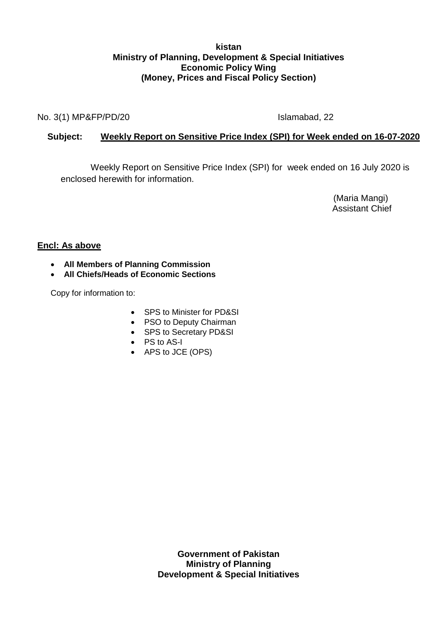## **kistan Ministry of Planning, Development & Special Initiatives Economic Policy Wing (Money, Prices and Fiscal Policy Section)**

No. 3(1) MP&FP/PD/20 Islamabad, 22

# **Subject: Weekly Report on Sensitive Price Index (SPI) for Week ended on 16-07-2020**

Weekly Report on Sensitive Price Index (SPI) for week ended on 16 July 2020 is enclosed herewith for information.

> (Maria Mangi) Assistant Chief

# **Encl: As above**

- **All Members of Planning Commission**
- **All Chiefs/Heads of Economic Sections**

Copy for information to:

- SPS to Minister for PD&SI
- PSO to Deputy Chairman
- SPS to Secretary PD&SI
- PS to AS-I
- APS to JCE (OPS)

**Government of Pakistan Ministry of Planning Development & Special Initiatives**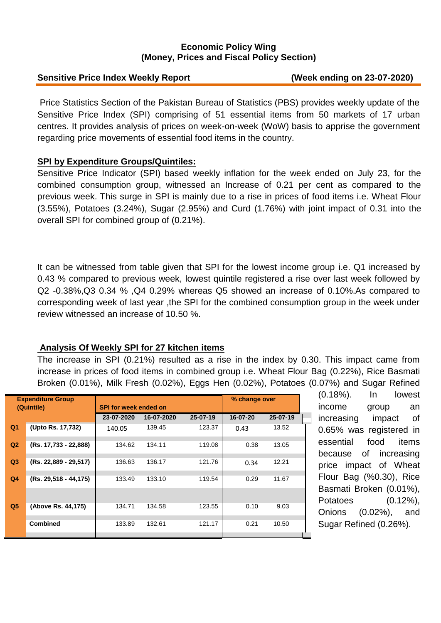## **Economic Policy Wing (Money, Prices and Fiscal Policy Section)**

#### **Sensitive Price Index Weekly Report (Week ending on 23-07-2020)**

Price Statistics Section of the Pakistan Bureau of Statistics (PBS) provides weekly update of the Sensitive Price Index (SPI) comprising of 51 essential items from 50 markets of 17 urban centres. It provides analysis of prices on week-on-week (WoW) basis to apprise the government regarding price movements of essential food items in the country.

#### **SPI by Expenditure Groups/Quintiles:**

Sensitive Price Indicator (SPI) based weekly inflation for the week ended on July 23, for the combined consumption group, witnessed an Increase of 0.21 per cent as compared to the previous week. This surge in SPI is mainly due to a rise in prices of food items i.e. Wheat Flour (3.55%), Potatoes (3.24%), Sugar (2.95%) and Curd (1.76%) with joint impact of 0.31 into the overall SPI for combined group of (0.21%).

It can be witnessed from table given that SPI for the lowest income group i.e. Q1 increased by 0.43 % compared to previous week, lowest quintile registered a rise over last week followed by Q2 -0.38%,Q3 0.34 % ,Q4 0.29% whereas Q5 showed an increase of 0.10%.As compared to corresponding week of last year ,the SPI for the combined consumption group in the week under review witnessed an increase of 10.50 %.

#### **Analysis Of Weekly SPI for 27 kitchen items**

The increase in SPI (0.21%) resulted as a rise in the index by 0.30. This impact came from increase in prices of food items in combined group i.e. Wheat Flour Bag (0.22%), Rice Basmati Broken (0.01%), Milk Fresh (0.02%), Eggs Hen (0.02%), Potatoes (0.07%) and Sugar Refined

| <b>Expenditure Group</b><br>(Quintile) |                       | <b>SPI for week ended on</b> |            |                | % change over |          |  |
|----------------------------------------|-----------------------|------------------------------|------------|----------------|---------------|----------|--|
|                                        |                       | 23-07-2020                   | 16-07-2020 | $25 - 07 - 19$ | 16-07-20      | 25-07-19 |  |
| Q <sub>1</sub>                         | (Upto Rs. 17,732)     | 140.05                       | 139.45     | 123.37         | 0.43          | 13.52    |  |
| Q <sub>2</sub>                         | (Rs. 17,733 - 22,888) | 134.62                       | 134.11     | 119.08         | 0.38          | 13.05    |  |
| Q <sub>3</sub>                         | (Rs. 22,889 - 29,517) | 136.63                       | 136.17     | 121.76         | 0.34          | 12.21    |  |
| Q <sub>4</sub>                         | (Rs. 29,518 - 44,175) | 133.49                       | 133.10     | 119.54         | 0.29          | 11.67    |  |
|                                        |                       |                              |            |                |               |          |  |
| Q <sub>5</sub>                         | (Above Rs. 44,175)    | 134.71                       | 134.58     | 123.55         | 0.10          | 9.03     |  |
|                                        | <b>Combined</b>       | 133.89                       | 132.61     | 121.17         | 0.21          | 10.50    |  |

(0.18%). In lowest income group an I increasing impact of 0.65% was registered in essential food items because of increasing price impact of Wheat Flour Bag (%0.30), Rice Basmati Broken (0.01%), Potatoes (0.12%), Onions (0.02%), and Sugar Refined (0.26%).